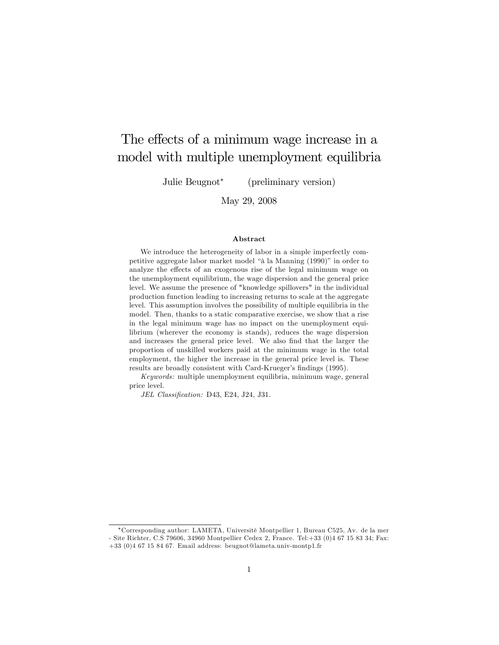# The effects of a minimum wage increase in a model with multiple unemployment equilibria

Julie Beugnot (preliminary version)

May 29, 2008

#### Abstract

We introduce the heterogeneity of labor in a simple imperfectly competitive aggregate labor market model "à la Manning (1990)" in order to analyze the effects of an exogenous rise of the legal minimum wage on the unemployment equilibrium, the wage dispersion and the general price level. We assume the presence of "knowledge spillovers" in the individual production function leading to increasing returns to scale at the aggregate level. This assumption involves the possibility of multiple equilibria in the model. Then, thanks to a static comparative exercise, we show that a rise in the legal minimum wage has no impact on the unemployment equilibrium (wherever the economy is stands), reduces the wage dispersion and increases the general price level. We also find that the larger the proportion of unskilled workers paid at the minimum wage in the total employment, the higher the increase in the general price level is. These results are broadly consistent with Card-Krueger's findings (1995).

Keywords: multiple unemployment equilibria, minimum wage, general price level.

JEL Classification: D43, E24, J24, J31.

Corresponding author: LAMETA, UniversitÈ Montpellier 1, Bureau C525, Av. de la mer - Site Richter, C.S 79606, 34960 Montpellier Cedex 2, France. Tel:+33 (0)4 67 15 83 34; Fax: +33 (0)4 67 15 84 67. Email address: beugnot@lameta.univ-montp1.fr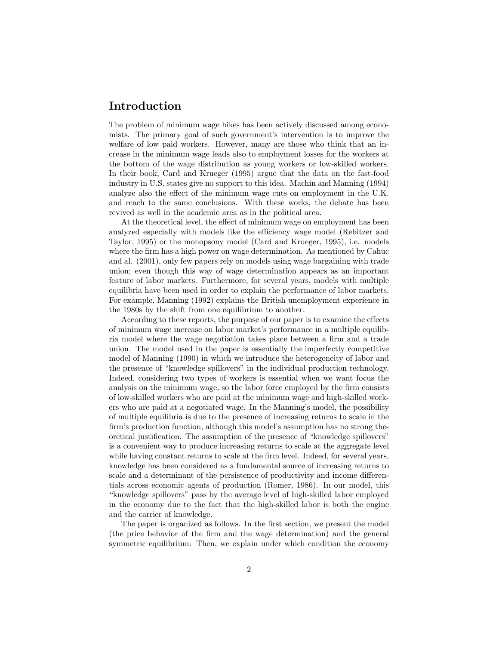## Introduction

The problem of minimum wage hikes has been actively discussed among economists. The primary goal of such government's intervention is to improve the welfare of low paid workers. However, many are those who think that an increase in the minimum wage leads also to employment losses for the workers at the bottom of the wage distribution as young workers or low-skilled workers. In their book, Card and Krueger (1995) argue that the data on the fast-food industry in U.S. states give no support to this idea. Machin and Manning (1994) analyze also the effect of the minimum wage cuts on employment in the U.K. and reach to the same conclusions. With these works, the debate has been revived as well in the academic area as in the political area.

At the theoretical level, the effect of minimum wage on employment has been analyzed especially with models like the efficiency wage model (Rebitzer and Taylor, 1995) or the monopsony model (Card and Krueger, 1995), i.e. models where the firm has a high power on wage determination. As mentioned by Cahuch and al. (2001), only few papers rely on models using wage bargaining with trade union; even though this way of wage determination appears as an important feature of labor markets. Furthermore, for several years, models with multiple equilibria have been used in order to explain the performance of labor markets. For example, Manning (1992) explains the British unemployment experience in the 1980s by the shift from one equilibrium to another.

According to these reports, the purpose of our paper is to examine the effects of minimum wage increase on labor market's performance in a multiple equilibria model where the wage negotiation takes place between a firm and a trade union. The model used in the paper is essentially the imperfectly competitive model of Manning (1990) in which we introduce the heterogeneity of labor and the presence of "knowledge spillovers" in the individual production technology. Indeed, considering two types of workers is essential when we want focus the analysis on the minimum wage, so the labor force employed by the firm consists of low-skilled workers who are paid at the minimum wage and high-skilled workers who are paid at a negotiated wage. In the Manning's model, the possibility of multiple equilibria is due to the presence of increasing returns to scale in the firm's production function, although this model's assumption has no strong theoretical justification. The assumption of the presence of "knowledge spillovers" is a convenient way to produce increasing returns to scale at the aggregate level while having constant returns to scale at the firm level. Indeed, for several years, knowledge has been considered as a fundamental source of increasing returns to scale and a determinant of the persistence of productivity and income differentials across economic agents of production (Romer, 1986). In our model, this "knowledge spillovers" pass by the average level of high-skilled labor employed in the economy due to the fact that the high-skilled labor is both the engine and the carrier of knowledge.

The paper is organized as follows. In the first section, we present the model (the price behavior of the Örm and the wage determination) and the general symmetric equilibrium. Then, we explain under which condition the economy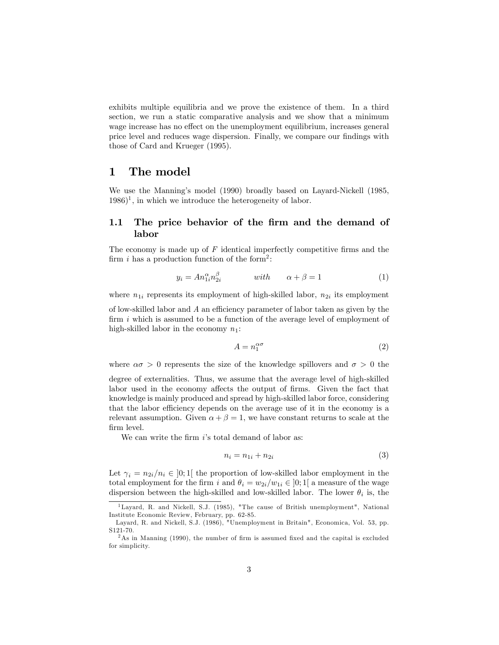exhibits multiple equilibria and we prove the existence of them. In a third section, we run a static comparative analysis and we show that a minimum wage increase has no effect on the unemployment equilibrium, increases general price level and reduces wage dispersion. Finally, we compare our findings with those of Card and Krueger (1995).

# 1 The model

We use the Manning's model (1990) broadly based on Layard-Nickell (1985,  $1986$ <sup>1</sup>, in which we introduce the heterogeneity of labor.

## 1.1 The price behavior of the firm and the demand of labor

The economy is made up of  $F$  identical imperfectly competitive firms and the firm i has a production function of the form<sup>2</sup>:

$$
y_i = An_{1i}^{\alpha} n_{2i}^{\beta} \qquad \text{with} \qquad \alpha + \beta = 1 \tag{1}
$$

where  $n_{1i}$  represents its employment of high-skilled labor,  $n_{2i}$  its employment

of low-skilled labor and  $A$  an efficiency parameter of labor taken as given by the firm  $i$  which is assumed to be a function of the average level of employment of high-skilled labor in the economy  $n_1$ :

$$
A = n_1^{\alpha \sigma} \tag{2}
$$

where  $\alpha \sigma > 0$  represents the size of the knowledge spillovers and  $\sigma > 0$  the

degree of externalities. Thus, we assume that the average level of high-skilled labor used in the economy affects the output of firms. Given the fact that knowledge is mainly produced and spread by high-skilled labor force, considering that the labor efficiency depends on the average use of it in the economy is a relevant assumption. Given  $\alpha + \beta = 1$ , we have constant returns to scale at the firm level.

We can write the firm  $i$ 's total demand of labor as:

$$
n_i = n_{1i} + n_{2i} \tag{3}
$$

Let  $\gamma_i = n_{2i}/n_i \in ]0;1[$  the proportion of low-skilled labor employment in the total employment for the firm i and  $\theta_i = w_{2i}/w_{1i} \in ]0;1[$  a measure of the wage dispersion between the high-skilled and low-skilled labor. The lower  $\theta_i$  is, the

<sup>&</sup>lt;sup>1</sup>Layard, R. and Nickell, S.J. (1985), "The cause of British unemployment", National Institute Economic Review, February, pp. 62-85.

Layard, R. and Nickell, S.J. (1986), "Unemployment in Britain", Economica, Vol. 53, pp. S121-70.

 $^{2}$ As in Manning (1990), the number of firm is assumed fixed and the capital is excluded for simplicity.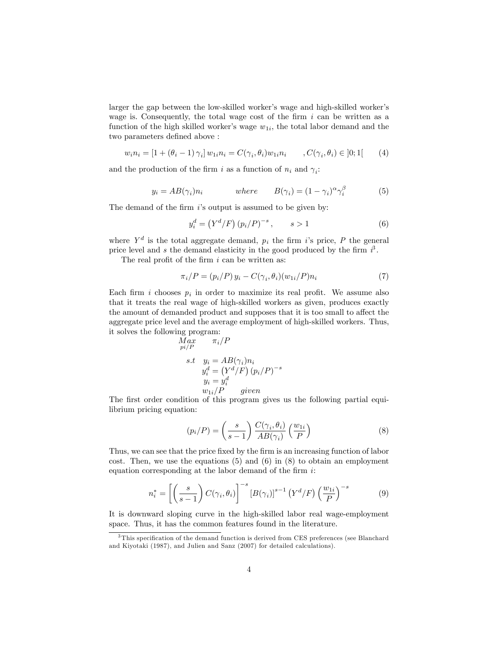larger the gap between the low-skilled worker's wage and high-skilled worker's wage is. Consequently, the total wage cost of the firm  $i$  can be written as a function of the high skilled worker's wage  $w_{1i}$ , the total labor demand and the two parameters defined above :

$$
w_i n_i = [1 + (\theta_i - 1) \gamma_i] w_{1i} n_i = C(\gamma_i, \theta_i) w_{1i} n_i , C(\gamma_i, \theta_i) \in ]0; 1[
$$
 (4)

and the production of the firm i as a function of  $n_i$  and  $\gamma_i$ :

$$
y_i = AB(\gamma_i)n_i \qquad \text{where} \qquad B(\gamma_i) = (1 - \gamma_i)^{\alpha} \gamma_i^{\beta} \qquad (5)
$$

The demand of the firm  $i$ 's output is assumed to be given by:

$$
y_i^d = (Y^d/F) (p_i/P)^{-s}, \t s > 1
$$
 (6)

where  $Y^d$  is the total aggregate demand,  $p_i$  the firm is price, P the general price level and s the demand elasticity in the good produced by the firm  $i^3$ .

The real profit of the firm  $i$  can be written as:

$$
\pi_i/P = (p_i/P) y_i - C(\gamma_i, \theta_i)(w_{1i}/P)n_i \tag{7}
$$

Each firm *i* chooses  $p_i$  in order to maximize its real profit. We assume also that it treats the real wage of high-skilled workers as given, produces exactly the amount of demanded product and supposes that it is too small to affect the aggregate price level and the average employment of high-skilled workers. Thus, it solves the following program:

$$
Max \npi_i/P \ns.t \n y_i = AB(\gamma_i)n_i \n y_i^d = (Y^d/F) (p_i/P)^{-s} \n y_i = y_i^d \n w_{1i}/P \quad given
$$

The first order condition of this program gives us the following partial equilibrium pricing equation:

$$
(p_i/P) = \left(\frac{s}{s-1}\right) \frac{C(\gamma_i, \theta_i)}{AB(\gamma_i)} \left(\frac{w_{1i}}{P}\right)
$$
 (8)

Thus, we can see that the price fixed by the firm is an increasing function of labor cost. Then, we use the equations  $(5)$  and  $(6)$  in  $(8)$  to obtain an employment equation corresponding at the labor demand of the firm  $i$ :

$$
n_i^* = \left[ \left( \frac{s}{s-1} \right) C(\gamma_i, \theta_i) \right]^{-s} \left[ B(\gamma_i) \right]^{s-1} \left( Y^d / F \right) \left( \frac{w_{1i}}{P} \right)^{-s} \tag{9}
$$

It is downward sloping curve in the high-skilled labor real wage-employment space. Thus, it has the common features found in the literature.

 $\frac{3 \text{ This specification of the demand function is derived from CES preferences (see Blanchard) }$ and Kiyotaki (1987), and Julien and Sanz (2007) for detailed calculations).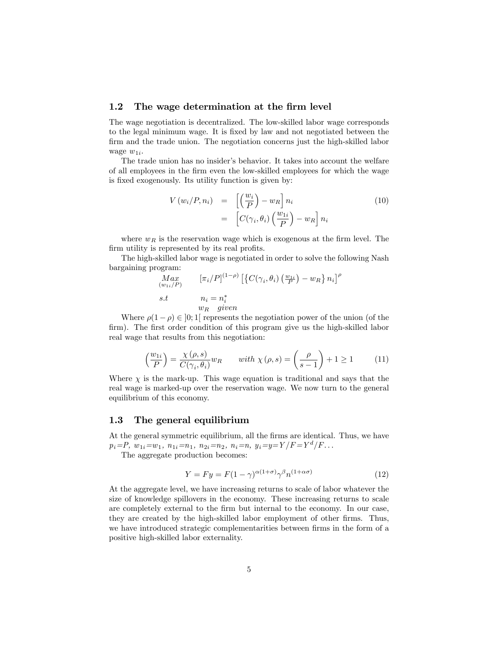### 1.2 The wage determination at the firm level

The wage negotiation is decentralized. The low-skilled labor wage corresponds to the legal minimum wage. It is Öxed by law and not negotiated between the firm and the trade union. The negotiation concerns just the high-skilled labor wage  $w_{1i}$ .

The trade union has no insider's behavior. It takes into account the welfare of all employees in the Örm even the low-skilled employees for which the wage is fixed exogenously. Its utility function is given by:

$$
V(w_i/P, n_i) = \left[ \left( \frac{w_i}{P} \right) - w_R \right] n_i
$$
  
= 
$$
\left[ C(\gamma_i, \theta_i) \left( \frac{w_{1i}}{P} \right) - w_R \right] n_i
$$
 (10)

where  $w_R$  is the reservation wage which is exogenous at the firm level. The firm utility is represented by its real profits.

The high-skilled labor wage is negotiated in order to solve the following Nash bargaining program:

$$
Max_{(w_{1i}/P)} \qquad [\pi_i/P]^{(1-\rho)} \left[ \left\{ C(\gamma_i, \theta_i) \left( \frac{w_{1i}}{P} \right) - w_R \right\} n_i \right]^{\rho}
$$
  
s.t 
$$
n_i = n_i^*
$$
  

$$
w_R \quad given
$$

Where  $\rho(1 - \rho) \in ]0; 1]$  represents the negotiation power of the union (of the firm). The first order condition of this program give us the high-skilled labor real wage that results from this negotiation:

$$
\left(\frac{w_{1i}}{P}\right) = \frac{\chi(\rho, s)}{C(\gamma_i, \theta_i)} w_R \qquad with \ \chi(\rho, s) = \left(\frac{\rho}{s - 1}\right) + 1 \ge 1 \tag{11}
$$

Where  $\chi$  is the mark-up. This wage equation is traditional and says that the real wage is marked-up over the reservation wage. We now turn to the general equilibrium of this economy.

## 1.3 The general equilibrium

At the general symmetric equilibrium, all the firms are identical. Thus, we have  $p_i = P$ ,  $w_{1i} = w_1$ ,  $n_{1i} = n_1$ ,  $n_{2i} = n_2$ ,  $n_i = n$ ,  $y_i = y = Y/F = Y^d/F$ ...

The aggregate production becomes:

$$
Y = Fy = F(1 - \gamma)^{\alpha(1+\sigma)} \gamma^{\beta} n^{(1+\alpha\sigma)} \tag{12}
$$

At the aggregate level, we have increasing returns to scale of labor whatever the size of knowledge spillovers in the economy. These increasing returns to scale are completely external to the Örm but internal to the economy. In our case, they are created by the high-skilled labor employment of other firms. Thus, we have introduced strategic complementarities between firms in the form of a positive high-skilled labor externality.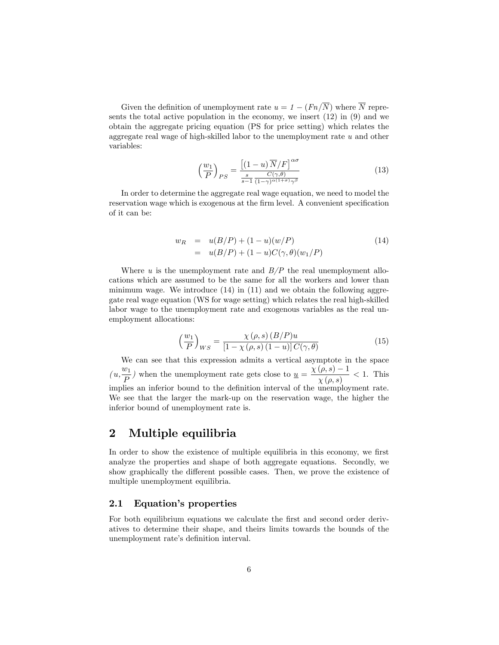Given the definition of unemployment rate  $u = 1 - (Fn/\overline{N})$  where  $\overline{N}$  represents the total active population in the economy, we insert (12) in (9) and we obtain the aggregate pricing equation (PS for price setting) which relates the aggregate real wage of high-skilled labor to the unemployment rate u and other variables:

$$
\left(\frac{w_1}{P}\right)_{PS} = \frac{\left[(1-u)\overline{N}/F\right]^{\alpha\sigma}}{\frac{s}{s-1}\frac{C(\gamma,\theta)}{(1-\gamma)^{\alpha(1+\sigma)}\gamma^{\beta}}}
$$
(13)

In order to determine the aggregate real wage equation, we need to model the reservation wage which is exogenous at the firm level. A convenient specification of it can be:

$$
w_R = u(B/P) + (1 - u)(w/P)
$$
  
=  $u(B/P) + (1 - u)C(\gamma, \theta)(w_1/P)$  (14)

Where u is the unemployment rate and  $B/P$  the real unemployment allocations which are assumed to be the same for all the workers and lower than minimum wage. We introduce  $(14)$  in  $(11)$  and we obtain the following aggregate real wage equation (WS for wage setting) which relates the real high-skilled labor wage to the unemployment rate and exogenous variables as the real unemployment allocations:

$$
\left(\frac{w_1}{P}\right)_{WS} = \frac{\chi(\rho, s) \left(B/P\right) u}{\left[1 - \chi(\rho, s) \left(1 - u\right)\right] C(\gamma, \theta)}\tag{15}
$$

We can see that this expression admits a vertical asymptote in the space  $(u, \frac{w_1}{R})$  $\frac{w_1}{P}$ ) when the unemployment rate gets close to  $\underline{u} = \frac{\chi(\rho, s) - 1}{\chi(\rho, s)}$  $\frac{\overline{y(s)}}{\chi(\rho,s)}$  < 1. This implies an inferior bound to the definition interval of the unemployment rate. We see that the larger the mark-up on the reservation wage, the higher the inferior bound of unemployment rate is.

# 2 Multiple equilibria

In order to show the existence of multiple equilibria in this economy, we first analyze the properties and shape of both aggregate equations. Secondly, we show graphically the different possible cases. Then, we prove the existence of multiple unemployment equilibria.

## 2.1 Equation's properties

For both equilibrium equations we calculate the first and second order derivatives to determine their shape, and theirs limits towards the bounds of the unemployment rate's definition interval.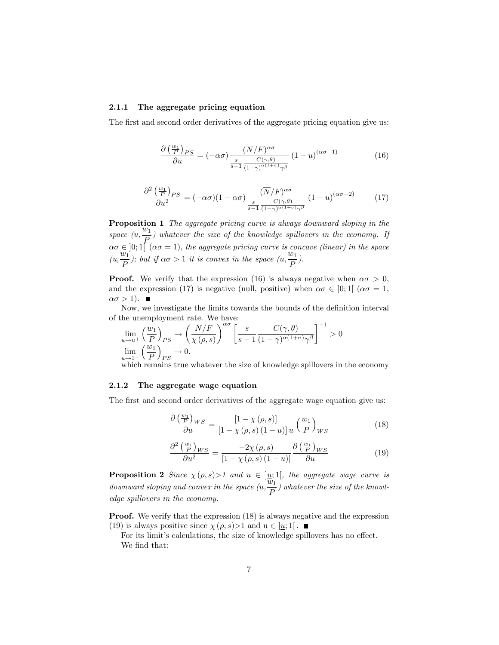### 2.1.1 The aggregate pricing equation

The first and second order derivatives of the aggregate pricing equation give us:

$$
\frac{\partial \left(\frac{w_1}{P}\right)_{PS}}{\partial u} = \left(-\alpha \sigma\right) \frac{\left(\overline{N}/F\right)^{\alpha \sigma}}{\frac{s}{s-1} \frac{C(\gamma,\theta)}{\left(1-\gamma\right)^{\alpha(1+\sigma)} \gamma^{\beta}}}\left(1-u\right)^{(\alpha \sigma-1)}\tag{16}
$$

$$
\frac{\partial^2 \left(\frac{w_1}{P}\right)_{PS}}{\partial u^2} = (-\alpha \sigma)(1 - \alpha \sigma) \frac{(\overline{N}/F)^{\alpha \sigma}}{\frac{s}{s-1} \frac{C(\gamma, \theta)}{(1-\gamma)^{\alpha(1+\sigma)}\gamma^\beta}} (1-u)^{(\alpha \sigma - 2)} \tag{17}
$$

Proposition 1 The aggregate pricing curve is always downward sloping in the space  $(u, \frac{w_1}{R})$  $\frac{dP}{dP}$ ) whatever the size of the knowledge spillovers in the economy. If  $\alpha\sigma \in ]0;1[$  ( $\alpha\sigma = 1$ ), the aggregate pricing curve is concave (linear) in the space  $(u, \frac{w_1}{P})$ ; but if  $\alpha\sigma > 1$  it is convex in the space  $(u, \frac{w_1}{P})$ .  $\frac{p}{P}$ ).

**Proof.** We verify that the expression (16) is always negative when  $\alpha \sigma > 0$ , and the expression (17) is negative (null, positive) when  $\alpha \sigma \in [0; 1]$  ( $\alpha \sigma = 1$ ,  $\alpha \sigma > 1$ ).

Now, we investigate the limits towards the bounds of the definition interval of the unemployment rate. We have:

$$
\lim_{u \to \underline{u}^{+}} \left(\frac{w_1}{P}\right)_{PS} \to \left(\frac{\overline{N}/F}{\chi(\rho, s)}\right)^{\alpha \sigma} \left[\frac{s}{s - 1} \frac{C(\gamma, \theta)}{(1 - \gamma)^{\alpha(1 + \sigma)} \gamma^{\beta}}\right]^{-1} > 0
$$
  

$$
\lim_{u \to 1^{-}} \left(\frac{w_1}{P}\right)_{PS} \to 0.
$$

 $\frac{u}{u+1}$  (P  $/_{PS}$  )<br>which remains true whatever the size of knowledge spillovers in the economy

#### 2.1.2 The aggregate wage equation

The first and second order derivatives of the aggregate wage equation give us:

$$
\frac{\partial \left(\frac{w_1}{P}\right)_{WS}}{\partial u} = \frac{\left[1 - \chi\left(\rho, s\right)\right]}{\left[1 - \chi\left(\rho, s\right)\left(1 - u\right)\right] u} \left(\frac{w_1}{P}\right)_{WS} \tag{18}
$$

$$
\frac{\partial^2 \left(\frac{w_1}{P}\right)_{WS}}{\partial u^2} = \frac{-2\chi\left(\rho, s\right)}{\left[1 - \chi\left(\rho, s\right)\left(1 - u\right)\right]} \frac{\partial \left(\frac{w_1}{P}\right)_{WS}}{\partial u} \tag{19}
$$

**Proposition 2** Since  $\chi(\rho, s) > 1$  and  $u \in \underline{u}$ ; 1, the aggregate wage curve is downward sloping and convex in the space  $(u, \frac{\overline{w}_1}{R})$  $\frac{1}{P}$ ) whatever the size of the knowledge spillovers in the economy.

**Proof.** We verify that the expression (18) is always negative and the expression (19) is always positive since  $\chi(\rho, s) > 1$  and  $u \in [u; 1]$ .

For its limit's calculations, the size of knowledge spillovers has no effect. We find that: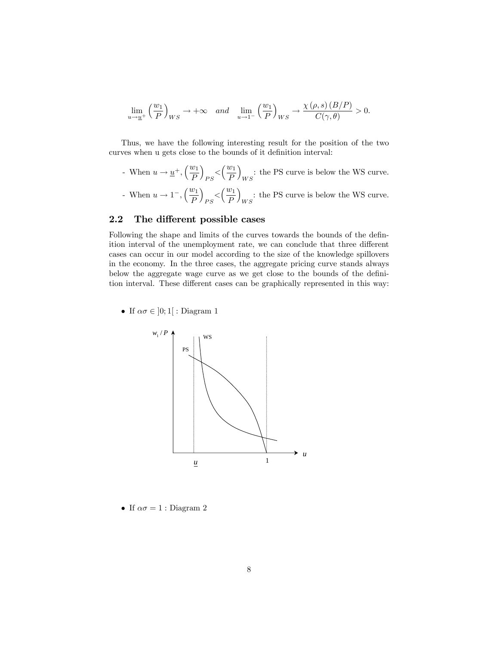$$
\lim_{u \to \underline{u}^+} \left(\frac{w_1}{P}\right)_{WS} \to +\infty \quad and \quad \lim_{u \to 1^-} \left(\frac{w_1}{P}\right)_{WS} \to \frac{\chi(\rho, s)(B/P)}{C(\gamma, \theta)} > 0.
$$

Thus, we have the following interesting result for the position of the two curves when u gets close to the bounds of it definition interval:

- When  $u \to \underline{u}^+, \left(\frac{w_1}{P}\right)$ P  $\overline{ }$  $_{PS} < \left(\frac{w_1}{P}\right)$ P  $\overline{\phantom{0}}$ : the PS curve is below the WS curve.
- When  $u \to 1^-$ ,  $\left(\frac{w_1}{P}\right)$ P  $\overline{ }$  $_{PS} < \left(\frac{w_1}{P}\right)$ P  $\overline{ }$ : the PS curve is below the WS curve.

## 2.2 The different possible cases

Following the shape and limits of the curves towards the bounds of the definition interval of the unemployment rate, we can conclude that three different cases can occur in our model according to the size of the knowledge spillovers in the economy. In the three cases, the aggregate pricing curve stands always below the aggregate wage curve as we get close to the bounds of the definition interval. These different cases can be graphically represented in this way:

• If  $\alpha \sigma \in ]0;1[$  : Diagram 1



• If  $\alpha \sigma = 1$ : Diagram 2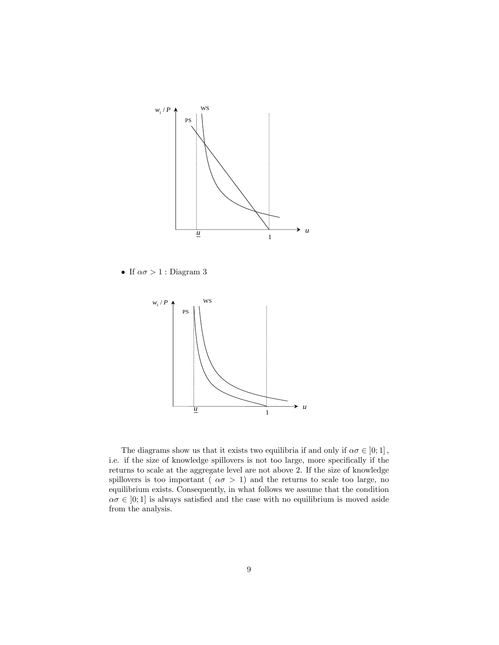

 $\bullet\,$  If  $\alpha\sigma>1$  : Diagram  $3$ 



The diagrams show us that it exists two equilibria if and only if  $\alpha \sigma \in [0; 1]$ , i.e. if the size of knowledge spillovers is not too large, more specifically if the returns to scale at the aggregate level are not above 2. If the size of knowledge spillovers is too important ( $\alpha \sigma > 1$ ) and the returns to scale too large, no equilibrium exists. Consequently, in what follows we assume that the condition  $\alpha \sigma \in [0; 1]$  is always satisfied and the case with no equilibrium is moved aside from the analysis.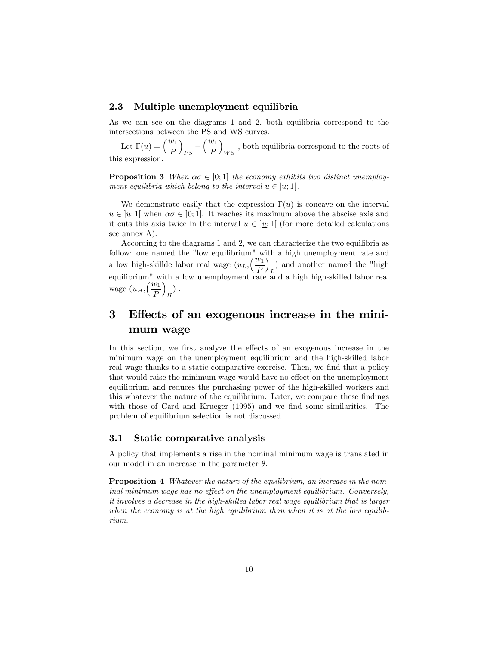## 2.3 Multiple unemployment equilibria

As we can see on the diagrams 1 and 2, both equilibria correspond to the intersections between the PS and WS curves.

Let  $\Gamma(u) = \left(\frac{w_1}{P}\right)$  $\overline{ }$  $_{PS}$  –  $\ell^{w_1}$ P  $\overline{ }$  $W_S$ , both equilibria correspond to the roots of this expression.

**Proposition 3** When  $\alpha \sigma \in [0; 1]$  the economy exhibits two distinct unemployment equilibria which belong to the interval  $u \in [u; 1]$ .

We demonstrate easily that the expression  $\Gamma(u)$  is concave on the interval  $u \in [u; 1]$  when  $\alpha \sigma \in [0; 1]$ . It reaches its maximum above the abscise axis and it cuts this axis twice in the interval  $u \in [u; 1]$  (for more detailed calculations see annex A).

According to the diagrams 1 and 2, we can characterize the two equilibria as follow: one named the "low equilibrium" with a high unemployment rate and a low high-skillde labor real wage  $(u_L, \left(\frac{w_1}{R}\right))$ P  $\overline{ }$ ) and another named the "high" equilibrium" with a low unemployment rate and a high high-skilled labor real wage  $(u_H, \left(\frac{w_1}{R}\right))$ P  $\overline{ }$  $\binom{H}{H}$  .

# 3 Effects of an exogenous increase in the minimum wage

In this section, we first analyze the effects of an exogenous increase in the minimum wage on the unemployment equilibrium and the high-skilled labor real wage thanks to a static comparative exercise. Then, we find that a policy that would raise the minimum wage would have no effect on the unemployment equilibrium and reduces the purchasing power of the high-skilled workers and this whatever the nature of the equilibrium. Later, we compare these findings with those of Card and Krueger (1995) and we find some similarities. The problem of equilibrium selection is not discussed.

## 3.1 Static comparative analysis

A policy that implements a rise in the nominal minimum wage is translated in our model in an increase in the parameter  $\theta$ .

**Proposition 4** Whatever the nature of the equilibrium, an increase in the nominal minimum wage has no effect on the unemployment equilibrium. Conversely, it involves a decrease in the high-skilled labor real wage equilibrium that is larger when the economy is at the high equilibrium than when it is at the low equilibrium.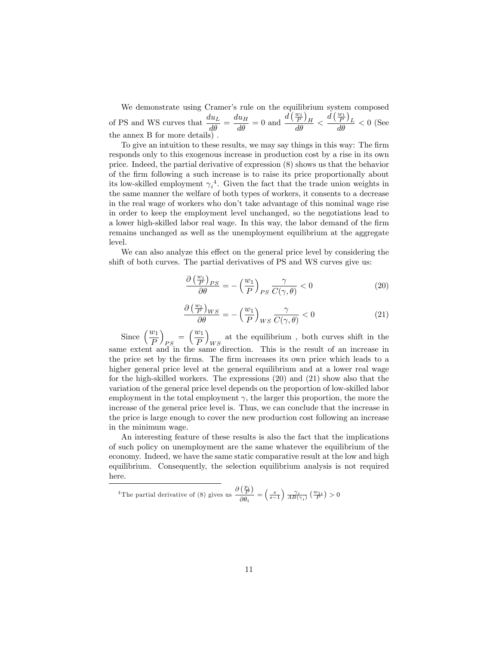We demonstrate using Cramer's rule on the equilibrium system composed of PS and WS curves that  $\frac{du_L}{d\theta} = \frac{du_H}{d\theta} = 0$  and  $\frac{d(\frac{w_1}{P})_H}{d\theta} < \frac{d(\frac{w_1}{P})_L}{d\theta} < 0$  (See the annex B for more details) .

To give an intuition to these results, we may say things in this way: The firm responds only to this exogenous increase in production cost by a rise in its own price. Indeed, the partial derivative of expression (8) shows us that the behavior of the Örm following a such increase is to raise its price proportionally about its low-skilled employment  $\gamma_i^4$ . Given the fact that the trade union weights in the same manner the welfare of both types of workers, it consents to a decrease in the real wage of workers who don't take advantage of this nominal wage rise in order to keep the employment level unchanged, so the negotiations lead to a lower high-skilled labor real wage. In this way, the labor demand of the firm remains unchanged as well as the unemployment equilibrium at the aggregate level.

We can also analyze this effect on the general price level by considering the shift of both curves. The partial derivatives of PS and WS curves give us:

$$
\frac{\partial \left(\frac{w_1}{P}\right)_{PS}}{\partial \theta} = -\left(\frac{w_1}{P}\right)_{PS} \frac{\gamma}{C(\gamma, \theta)} < 0 \tag{20}
$$

$$
\frac{\partial \left(\frac{w_1}{P}\right)_{WS}}{\partial \theta} = -\left(\frac{w_1}{P}\right)_{WS} \frac{\gamma}{C(\gamma, \theta)} < 0 \tag{21}
$$

Since  $\left(\frac{w_1}{P}\right)$  $\overline{ }$  $_{PS}$  =  $\left(\frac{w_1}{P}\right)$ P  $\overline{ }$ at the equilibrium, both curves shift in the  $WS$ . same extent and in the same direction. This is the result of an increase in the price set by the firms. The firm increases its own price which leads to a higher general price level at the general equilibrium and at a lower real wage for the high-skilled workers. The expressions (20) and (21) show also that the variation of the general price level depends on the proportion of low-skilled labor employment in the total employment  $\gamma$ , the larger this proportion, the more the increase of the general price level is. Thus, we can conclude that the increase in the price is large enough to cover the new production cost following an increase in the minimum wage.

An interesting feature of these results is also the fact that the implications of such policy on unemployment are the same whatever the equilibrium of the economy. Indeed, we have the same static comparative result at the low and high equilibrium. Consequently, the selection equilibrium analysis is not required here.

<sup>4</sup>The partial derivative of (8) gives us 
$$
\frac{\partial (\frac{p_i}{P})}{\partial \theta_i} = \left(\frac{s}{s-1}\right) \frac{\gamma_i}{AB(\gamma_i)} (\frac{w_{1i}}{P}) > 0
$$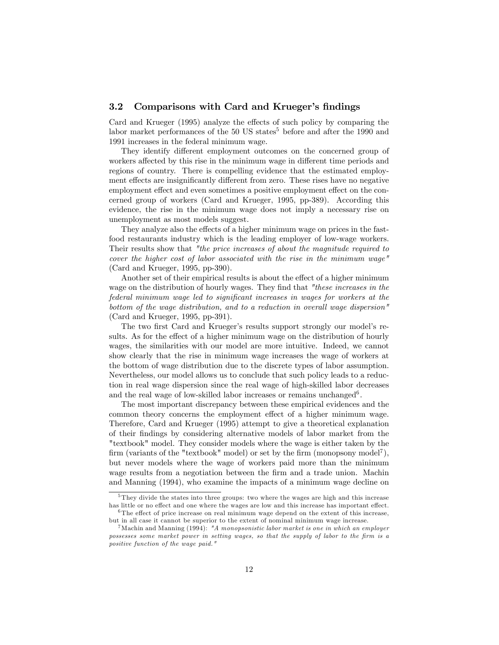## 3.2 Comparisons with Card and Krueger's findings

Card and Krueger  $(1995)$  analyze the effects of such policy by comparing the labor market performances of the  $50 \text{ US states}^5$  before and after the 1990 and 1991 increases in the federal minimum wage.

They identify different employment outcomes on the concerned group of workers affected by this rise in the minimum wage in different time periods and regions of country. There is compelling evidence that the estimated employment effects are insignificantly different from zero. These rises have no negative employment effect and even sometimes a positive employment effect on the concerned group of workers (Card and Krueger, 1995, pp-389). According this evidence, the rise in the minimum wage does not imply a necessary rise on unemployment as most models suggest.

They analyze also the effects of a higher minimum wage on prices in the fastfood restaurants industry which is the leading employer of low-wage workers. Their results show that "the price increases of about the magnitude required to cover the higher cost of labor associated with the rise in the minimum wage" (Card and Krueger, 1995, pp-390).

Another set of their empirical results is about the effect of a higher minimum wage on the distribution of hourly wages. They find that "these increases in the federal minimum wage led to significant increases in wages for workers at the bottom of the wage distribution, and to a reduction in overall wage dispersion" (Card and Krueger, 1995, pp-391).

The two first Card and Krueger's results support strongly our model's results. As for the effect of a higher minimum wage on the distribution of hourly wages, the similarities with our model are more intuitive. Indeed, we cannot show clearly that the rise in minimum wage increases the wage of workers at the bottom of wage distribution due to the discrete types of labor assumption. Nevertheless, our model allows us to conclude that such policy leads to a reduction in real wage dispersion since the real wage of high-skilled labor decreases and the real wage of low-skilled labor increases or remains unchanged<sup>6</sup>.

The most important discrepancy between these empirical evidences and the common theory concerns the employment effect of a higher minimum wage. Therefore, Card and Krueger (1995) attempt to give a theoretical explanation of their Öndings by considering alternative models of labor market from the "textbook" model. They consider models where the wage is either taken by the firm (variants of the "textbook" model) or set by the firm (monopsony model<sup>7</sup>), but never models where the wage of workers paid more than the minimum wage results from a negotiation between the firm and a trade union. Machin and Manning (1994), who examine the impacts of a minimum wage decline on

<sup>5</sup> They divide the states into three groups: two where the wages are high and this increase has little or no effect and one where the wages are low and this increase has important effect.  $6$ The effect of price increase on real minimum wage depend on the extent of this increase,

but in all case it cannot be superior to the extent of nominal minimum wage increase.

<sup>&</sup>lt;sup>7</sup> Machin and Manning (1994): "A monopsonistic labor market is one in which an employer possesses some market power in setting wages, so that the supply of labor to the firm is a positive function of the wage paid."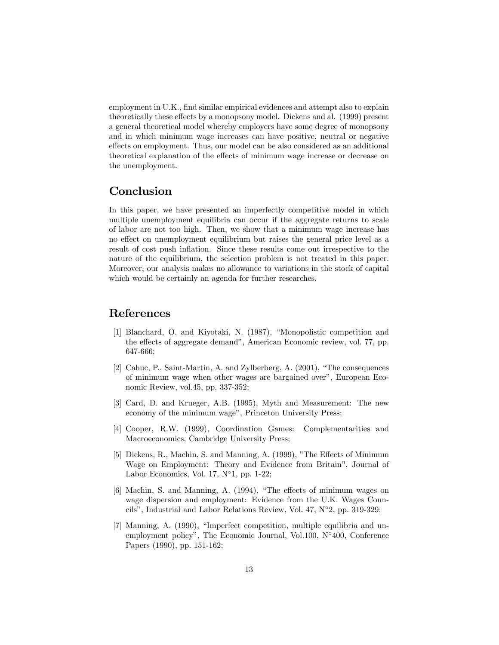employment in U.K., find similar empirical evidences and attempt also to explain theoretically these effects by a monopsony model. Dickens and al. (1999) present a general theoretical model whereby employers have some degree of monopsony and in which minimum wage increases can have positive, neutral or negative effects on employment. Thus, our model can be also considered as an additional theoretical explanation of the effects of minimum wage increase or decrease on the unemployment.

# Conclusion

In this paper, we have presented an imperfectly competitive model in which multiple unemployment equilibria can occur if the aggregate returns to scale of labor are not too high. Then, we show that a minimum wage increase has no effect on unemployment equilibrium but raises the general price level as a result of cost push inflation. Since these results come out irrespective to the nature of the equilibrium, the selection problem is not treated in this paper. Moreover, our analysis makes no allowance to variations in the stock of capital which would be certainly an agenda for further researches.

## References

- [1] Blanchard, O. and Kiyotaki, N. (1987), "Monopolistic competition and the effects of aggregate demand", American Economic review, vol. 77, pp. 647-666;
- [2] Cahuc, P., Saint-Martin, A. and Zylberberg, A. (2001), "The consequences of minimum wage when other wages are bargained overî, European Economic Review, vol.45, pp. 337-352;
- [3] Card, D. and Krueger, A.B. (1995), Myth and Measurement: The new economy of the minimum wage", Princeton University Press;
- [4] Cooper, R.W. (1999), Coordination Games: Complementarities and Macroeconomics, Cambridge University Press;
- [5] Dickens, R., Machin, S. and Manning, A.  $(1999)$ , "The Effects of Minimum Wage on Employment: Theory and Evidence from Britain", Journal of Labor Economics, Vol. 17,  $N^{\circ}1$ , pp. 1-22;
- [6] Machin, S. and Manning, A. (1994), "The effects of minimum wages on wage dispersion and employment: Evidence from the U.K. Wages Councils", Industrial and Labor Relations Review, Vol. 47,  $N^{\circ}2$ , pp. 319-329;
- $[7]$  Manning, A.  $(1990)$ , "Imperfect competition, multiple equilibria and unemployment policy", The Economic Journal, Vol.100,  $N^{\circ}400$ , Conference Papers (1990), pp. 151-162;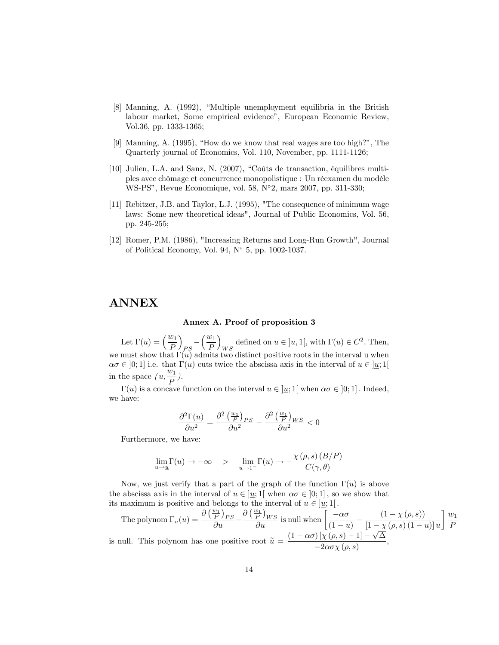- [8] Manning, A. (1992), "Multiple unemployment equilibria in the British labour market, Some empirical evidence", European Economic Review, Vol.36, pp. 1333-1365;
- [9] Manning, A.  $(1995)$ , "How do we know that real wages are too high?", The Quarterly journal of Economics, Vol. 110, November, pp. 1111-1126;
- $[10]$  Julien, L.A. and Sanz, N.  $(2007)$ , "Coûts de transaction, équilibres multiples avec chômage et concurrence monopolistique : Un réexamen du modèle WS-PS", Revue Economique, vol. 58, N°2, mars 2007, pp. 311-330;
- [11] Rebitzer, J.B. and Taylor, L.J. (1995), "The consequence of minimum wage laws: Some new theoretical ideas", Journal of Public Economics, Vol. 56, pp. 245-255;
- [12] Romer, P.M. (1986), "Increasing Returns and Long-Run Growth", Journal of Political Economy, Vol. 94,  $N^{\circ}$  5, pp. 1002-1037.

## ANNEX

#### Annex A. Proof of proposition 3

Let  $\Gamma(u) = \left(\frac{w_1}{P}\right)$  $\overline{ }$  $\frac{1}{PS}^{-1}$  $\ell^{w_1}$ P  $\overline{ }$ defined on  $u \in [\underline{u}, 1]$ , with  $\Gamma(u) \in C^2$ . Then, we must show that  $\Gamma(u)$  admits two distinct positive roots in the interval u when  $\alpha \sigma \in [0; 1]$  i.e. that  $\Gamma(u)$  cuts twice the abscissa axis in the interval of  $u \in [u; 1]$ in the space  $(u, \frac{w_1}{R})$  $\frac{X_1}{P}$ ).

 $\Gamma(u)$  is a concave function on the interval  $u \in [u; 1]$  when  $\alpha \sigma \in [0; 1]$ . Indeed, we have:

$$
\frac{\partial^2 \Gamma(u)}{\partial u^2} = \frac{\partial^2 \left(\frac{w_1}{P}\right)_{PS}}{\partial u^2} - \frac{\partial^2 \left(\frac{w_1}{P}\right)_{WS}}{\partial u^2} < 0
$$

Furthermore, we have:

$$
\lim_{u \to \underline{u}} \Gamma(u) \to -\infty \quad > \quad \lim_{u \to 1^-} \Gamma(u) \to -\frac{\chi(\rho, s) (B/P)}{C(\gamma, \theta)}
$$

Now, we just verify that a part of the graph of the function  $\Gamma(u)$  is above the abscissa axis in the interval of  $u \in [u; 1]$  when  $\alpha \sigma \in [0; 1]$ , so we show that its maximum is positive and belongs to the interval of  $u \in ]\underline{u};1[$ .

The polynom  $\Gamma_u(u) = \frac{\partial (\frac{w_1}{P})_{PS}}{\partial u} \frac{\partial (\frac{w_1}{P})_{WS}}{\partial u}$  is null when  $\frac{\partial (\frac{w_1}{P})}{\partial u}$  $\frac{-\alpha\sigma}{(1-u)} - \frac{(1-\chi\left(\rho,s\right))}{\left[1-\chi\left(\rho,s\right)\left(1-\right)\right]}$  $\left[1-\chi\left(\rho,s\right)\left(1-u\right)\right]u$  $\vert w_1 \vert$ P is null. This polynom has one positive root  $\widetilde{u} = \frac{(1 - \alpha \sigma) \left[ \chi(\rho, s) - 1 \right] - \sqrt{\Delta}}{-2\alpha \sigma \chi(\rho, s)}$  $\frac{1}{2} \frac{\lambda \left( \rho, \sigma \right) - 1}{\lambda} - 2 \alpha \sigma \chi \left( \rho, s \right)$